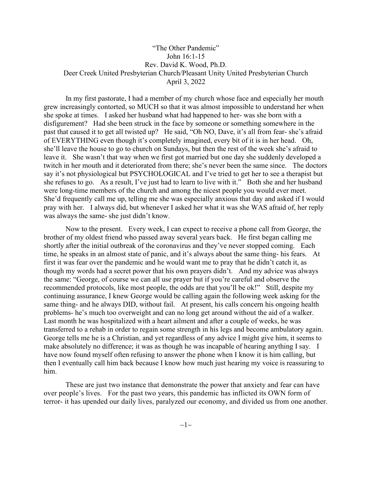## "The Other Pandemic" John 16:1-15 Rev. David K. Wood, Ph.D. Deer Creek United Presbyterian Church/Pleasant Unity United Presbyterian Church April 3, 2022

In my first pastorate, I had a member of my church whose face and especially her mouth grew increasingly contorted, so MUCH so that it was almost impossible to understand her when she spoke at times. I asked her husband what had happened to her- was she born with a disfigurement? Had she been struck in the face by someone or something somewhere in the past that caused it to get all twisted up? He said, "Oh NO, Dave, it's all from fear- she's afraid of EVERYTHING even though it's completely imagined, every bit of it is in her head. Oh, she'll leave the house to go to church on Sundays, but then the rest of the week she's afraid to leave it. She wasn't that way when we first got married but one day she suddenly developed a twitch in her mouth and it deteriorated from there; she's never been the same since. The doctors say it's not physiological but PSYCHOLOGICAL and I've tried to get her to see a therapist but she refuses to go. As a result, I've just had to learn to live with it." Both she and her husband were long-time members of the church and among the nicest people you would ever meet. She'd frequently call me up, telling me she was especially anxious that day and asked if I would pray with her. I always did, but whenever I asked her what it was she WAS afraid of, her reply was always the same- she just didn't know.

Now to the present. Every week, I can expect to receive a phone call from George, the brother of my oldest friend who passed away several years back. He first began calling me shortly after the initial outbreak of the coronavirus and they've never stopped coming. Each time, he speaks in an almost state of panic, and it's always about the same thing- his fears. At first it was fear over the pandemic and he would want me to pray that he didn't catch it, as though my words had a secret power that his own prayers didn't. And my advice was always the same: "George, of course we can all use prayer but if you're careful and observe the recommended protocols, like most people, the odds are that you'll be ok!" Still, despite my continuing assurance, I knew George would be calling again the following week asking for the same thing- and he always DID, without fail. At present, his calls concern his ongoing health problems- he's much too overweight and can no long get around without the aid of a walker. Last month he was hospitalized with a heart ailment and after a couple of weeks, he was transferred to a rehab in order to regain some strength in his legs and become ambulatory again. George tells me he is a Christian, and yet regardless of any advice I might give him, it seems to make absolutely no difference; it was as though he was incapable of hearing anything I say. I have now found myself often refusing to answer the phone when I know it is him calling, but then I eventually call him back because I know how much just hearing my voice is reassuring to him.

These are just two instance that demonstrate the power that anxiety and fear can have over people's lives. For the past two years, this pandemic has inflicted its OWN form of terror- it has upended our daily lives, paralyzed our economy, and divided us from one another.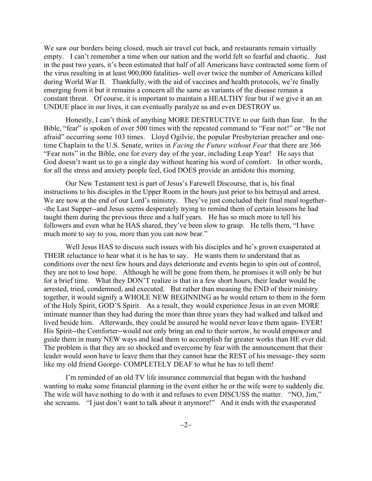We saw our borders being closed, much air travel cut back, and restaurants remain virtually empty. I can't remember a time when our nation and the world felt so fearful and chaotic. Just in the past two years, it's been estimated that half of all Americans have contracted some form of the virus resulting in at least 900,000 fatalities- well over twice the number of Americans killed during World War II. Thankfully, with the aid of vaccines and health protocols, we're finally emerging from it but it remains a concern all the same as variants of the disease remain a constant threat. Of course, it is important to maintain a HEALTHY fear but if we give it an an UNDUE place in our lives, it can eventually paralyze us and even DESTROY us.

Honestly, I can't think of anything MORE DESTRUCTIVE to our faith than fear. In the Bible, "fear" is spoken of over 500 times with the repeated command to "Fear not!" or "Be not afraid" occurring some 103 times. Lloyd Ogilvie, the popular Presbyterian preacher and onetime Chaplain to the U.S. Senate, writes in *Facing the Future without Fear* that there are 366 "Fear nots" in the Bible, one for every day of the year, including Leap Year! He says that God doesn't want us to go a single day without hearing his word of comfort. In other words, for all the stress and anxiety people feel, God DOES provide an antidote this morning.

Our New Testament text is part of Jesus's Farewell Discourse, that is, his final instructions to his disciples in the Upper Room in the hours just prior to his betrayal and arrest. We are now at the end of our Lord's ministry. They've just concluded their final meal together--the Last Supper--and Jesus seems desperately trying to remind them of certain lessons he had taught them during the previous three and a half years. He has so much more to tell his followers and even what he HAS shared, they've been slow to grasp. He tells them, "I have much more to say to you, more than you can now bear."

Well Jesus HAS to discuss such issues with his disciples and he's grown exasperated at THEIR reluctance to hear what it is he has to say. He wants them to understand that as conditions over the next few hours and days deteriorate and events begin to spin out of control, they are not to lose hope. Although he will be gone from them, he promises it will only be but for a brief time. What they DON'T realize is that in a few short hours, their leader would be arrested, tried, condemned, and executed. But rather than meaning the END of their ministry together, it would signify a WHOLE NEW BEGINNING as he would return to them in the form of the Holy Spirit, GOD'S Spirit. As a result, they would experience Jesus in an even MORE intimate manner than they had during the more than three years they had walked and talked and lived beside him. Afterwards, they could be assured he would never leave them again- EVER! His Spirit--the Comforter--would not only bring an end to their sorrow, he would empower and guide them in many NEW ways and lead them to accomplish far greater works than HE ever did. The problem is that they are so shocked and overcome by fear with the announcement that their leader would soon have to leave them that they cannot hear the REST of his message- they seem like my old friend George- COMPLETELY DEAF to what he has to tell them!

I'm reminded of an old TV life insurance commercial that began with the husband wanting to make some financial planning in the event either he or the wife were to suddenly die. The wife will have nothing to do with it and refuses to even DISCUSS the matter. "NO, Jim," she screams. "I just don't want to talk about it anymore!" And it ends with the exasperated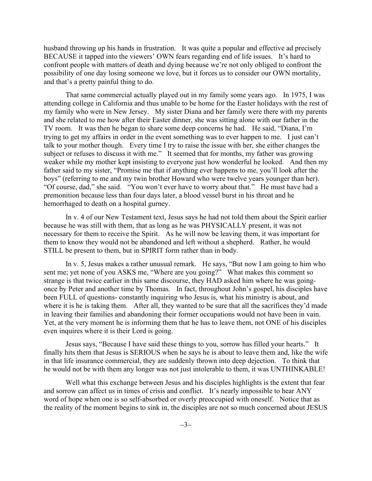husband throwing up his hands in frustration. It was quite a popular and effective ad precisely BECAUSE it tapped into the viewers' OWN fears regarding end of life issues. It's hard to confront people with matters of death and dying because we're not only obliged to confront the possibility of one day losing someone we love, but it forces us to consider our OWN mortality, and that's a pretty painful thing to do.

That same commercial actually played out in my family some years ago. In 1975, I was attending college in California and thus unable to be home for the Easter holidays with the rest of my family who were in New Jersey. My sister Diana and her family were there with my parents and she related to me how after their Easter dinner, she was sitting alone with our father in the TV room. It was then he began to share some deep concerns he had. He said, "Diana, I'm trying to get my affairs in order in the event something was to ever happen to me. I just can't talk to your mother though. Every time I try to raise the issue with her, she either changes the subject or refuses to discuss it with me." It seemed that for months, my father was growing weaker while my mother kept insisting to everyone just how wonderful he looked. And then my father said to my sister, "Promise me that if anything ever happens to me, you'll look after the boys" (referring to me and my twin brother Howard who were twelve years younger than her). "Of course, dad," she said. "You won't ever have to worry about that." He must have had a premonition because less than four days later, a blood vessel burst in his throat and he hemorrhaged to death on a hospital gurney.

In v. 4 of our New Testament text, Jesus says he had not told them about the Spirit earlier because he was still with them, that as long as he was PHYSICALLY present, it was not necessary for them to receive the Spirit. As he will now be leaving them, it was important for them to know they would not be abandoned and left without a shepherd. Rather, he would STILL be present to them, but in SPIRIT form rather than in body.

In v. 5, Jesus makes a rather unusual remark. He says, "But now I am going to him who sent me; yet none of you ASKS me, "Where are you going?" What makes this comment so strange is that twice earlier in this same discourse, they HAD asked him where he was goingonce by Peter and another time by Thomas. In fact, throughout John's gospel, his disciples have been FULL of questions- constantly inquiring who Jesus is, what his ministry is about, and where it is he is taking them. After all, they wanted to be sure that all the sacrifices they'd made in leaving their families and abandoning their former occupations would not have been in vain. Yet, at the very moment he is informing them that he has to leave them, not ONE of his disciples even inquires where it is their Lord is going.

Jesus says, "Because I have said these things to you, sorrow has filled your hearts." It finally hits them that Jesus is SERIOUS when he says he is about to leave them and, like the wife in that life insurance commercial, they are suddenly thrown into deep dejection. To think that he would not be with them any longer was not just intolerable to them, it was UNTHINKABLE!

Well what this exchange between Jesus and his disciples highlights is the extent that fear and sorrow can affect us in times of crisis and conflict. It's nearly impossible to hear ANY word of hope when one is so self-absorbed or overly preoccupied with oneself. Notice that as the reality of the moment begins to sink in, the disciples are not so much concerned about JESUS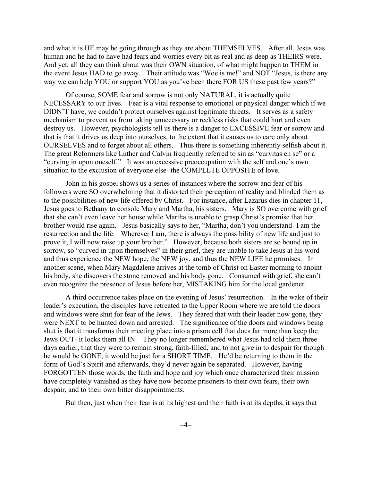and what it is HE may be going through as they are about THEMSELVES. After all, Jesus was human and he had to have had fears and worries every bit as real and as deep as THEIRS were. And yet, all they can think about was their OWN situation, of what might happen to THEM in the event Jesus HAD to go away. Their attitude was "Woe is me!" and NOT "Jesus, is there any way we can help YOU or support YOU as you've been there FOR US these past few years?"

Of course, SOME fear and sorrow is not only NATURAL, it is actually quite NECESSARY to our lives. Fear is a vital response to emotional or physical danger which if we DIDN'T have, we couldn't protect ourselves against legitimate threats. It serves as a safety mechanism to prevent us from taking unnecessary or reckless risks that could hurt and even destroy us. However, psychologists tell us there is a danger to EXCESSIVE fear or sorrow and that is that it drives us deep into ourselves, to the extent that it causes us to care only about OURSELVES and to forget about all others. Thus there is something inherently selfish about it. The great Reformers like Luther and Calvin frequently referred to sin as "curvitas en se" or a "curving in upon oneself." It was an excessive preoccupation with the self and one's own situation to the exclusion of everyone else- the COMPLETE OPPOSITE of love.

John in his gospel shows us a series of instances where the sorrow and fear of his followers were SO overwhelming that it distorted their perception of reality and blinded them as to the possibilities of new life offered by Christ. For instance, after Lazarus dies in chapter 11, Jesus goes to Bethany to console Mary and Martha, his sisters. Mary is SO overcome with grief that she can't even leave her house while Martha is unable to grasp Christ's promise that her brother would rise again. Jesus basically says to her, "Martha, don't you understand- I am the resurrection and the life. Wherever I am, there is always the possibility of new life and just to prove it, I will now raise up your brother." However, because both sisters are so bound up in sorrow, so "curved in upon themselves" in their grief, they are unable to take Jesus at his word and thus experience the NEW hope, the NEW joy, and thus the NEW LIFE he promises. In another scene, when Mary Magdalene arrives at the tomb of Christ on Easter morning to anoint his body, she discovers the stone removed and his body gone. Consumed with grief, she can't even recognize the presence of Jesus before her, MISTAKING him for the local gardener.

A third occurrence takes place on the evening of Jesus' resurrection. In the wake of their leader's execution, the disciples have retreated to the Upper Room where we are told the doors and windows were shut for fear of the Jews. They feared that with their leader now gone, they were NEXT to be hunted down and arrested. The significance of the doors and windows being shut is that it transforms their meeting place into a prison cell that does far more than keep the Jews OUT- it locks them all IN. They no longer remembered what Jesus had told them three days earlier, that they were to remain strong, faith-filled, and to not give in to despair for though he would be GONE, it would be just for a SHORT TIME. He'd be returning to them in the form of God's Spirit and afterwards, they'd never again be separated. However, having FORGOTTEN those words, the faith and hope and joy which once characterized their mission have completely vanished as they have now become prisoners to their own fears, their own despair, and to their own bitter disappointments.

But then, just when their fear is at its highest and their faith is at its depths, it says that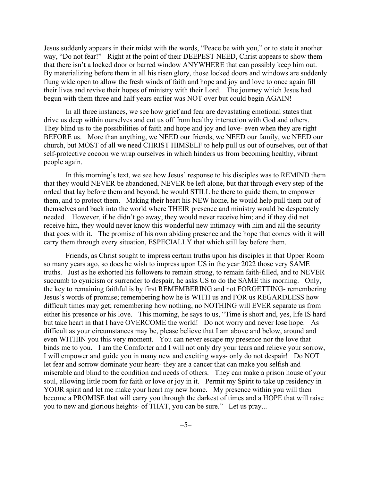Jesus suddenly appears in their midst with the words, "Peace be with you," or to state it another way, "Do not fear!" Right at the point of their DEEPEST NEED, Christ appears to show them that there isn't a locked door or barred window ANYWHERE that can possibly keep him out. By materializing before them in all his risen glory, those locked doors and windows are suddenly flung wide open to allow the fresh winds of faith and hope and joy and love to once again fill their lives and revive their hopes of ministry with their Lord. The journey which Jesus had begun with them three and half years earlier was NOT over but could begin AGAIN!

In all three instances, we see how grief and fear are devastating emotional states that drive us deep within ourselves and cut us off from healthy interaction with God and others. They blind us to the possibilities of faith and hope and joy and love- even when they are right BEFORE us. More than anything, we NEED our friends, we NEED our family, we NEED our church, but MOST of all we need CHRIST HIMSELF to help pull us out of ourselves, out of that self-protective cocoon we wrap ourselves in which hinders us from becoming healthy, vibrant people again.

In this morning's text, we see how Jesus' response to his disciples was to REMIND them that they would NEVER be abandoned, NEVER be left alone, but that through every step of the ordeal that lay before them and beyond, he would STILL be there to guide them, to empower them, and to protect them. Making their heart his NEW home, he would help pull them out of themselves and back into the world where THEIR presence and ministry would be desperately needed. However, if he didn't go away, they would never receive him; and if they did not receive him, they would never know this wonderful new intimacy with him and all the security that goes with it. The promise of his own abiding presence and the hope that comes with it will carry them through every situation, ESPECIALLY that which still lay before them.

Friends, as Christ sought to impress certain truths upon his disciples in that Upper Room so many years ago, so does he wish to impress upon US in the year 2022 those very SAME truths. Just as he exhorted his followers to remain strong, to remain faith-filled, and to NEVER succumb to cynicism or surrender to despair, he asks US to do the SAME this morning. Only, the key to remaining faithful is by first REMEMBERING and not FORGETTING- remembering Jesus's words of promise; remembering how he is WITH us and FOR us REGARDLESS how difficult times may get; remembering how nothing, no NOTHING will EVER separate us from either his presence or his love. This morning, he says to us, "Time is short and, yes, life IS hard but take heart in that I have OVERCOME the world! Do not worry and never lose hope. As difficult as your circumstances may be, please believe that I am above and below, around and even WITHIN you this very moment. You can never escape my presence nor the love that binds me to you. I am the Comforter and I will not only dry your tears and relieve your sorrow, I will empower and guide you in many new and exciting ways- only do not despair! Do NOT let fear and sorrow dominate your heart- they are a cancer that can make you selfish and miserable and blind to the condition and needs of others. They can make a prison house of your soul, allowing little room for faith or love or joy in it. Permit my Spirit to take up residency in YOUR spirit and let me make your heart my new home. My presence within you will then become a PROMISE that will carry you through the darkest of times and a HOPE that will raise you to new and glorious heights- of THAT, you can be sure." Let us pray...